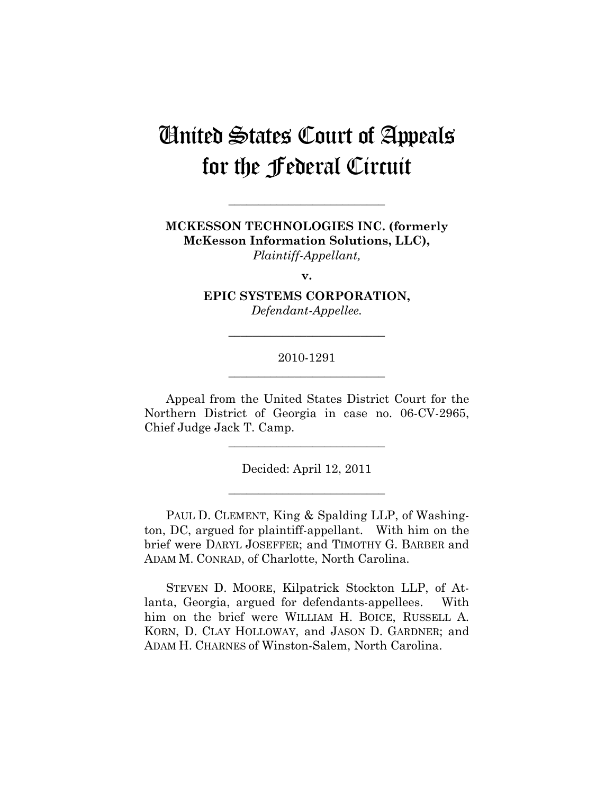# United States Court of Appeals for the Federal Circuit

**MCKESSON TECHNOLOGIES INC. (formerly McKesson Information Solutions, LLC),**  *Plaintiff-Appellant,* 

**\_\_\_\_\_\_\_\_\_\_\_\_\_\_\_\_\_\_\_\_\_\_\_\_\_\_** 

**v.** 

**EPIC SYSTEMS CORPORATION,**  *Defendant-Appellee.* 

**\_\_\_\_\_\_\_\_\_\_\_\_\_\_\_\_\_\_\_\_\_\_\_\_\_\_** 

## 2010-1291 **\_\_\_\_\_\_\_\_\_\_\_\_\_\_\_\_\_\_\_\_\_\_\_\_\_\_**

Appeal from the United States District Court for the Northern District of Georgia in case no. 06-CV-2965, Chief Judge Jack T. Camp.

**\_\_\_\_\_\_\_\_\_\_\_\_\_\_\_\_\_\_\_\_\_\_\_\_\_\_** 

Decided: April 12, 2011

**\_\_\_\_\_\_\_\_\_\_\_\_\_\_\_\_\_\_\_\_\_\_\_\_\_\_** 

PAUL D. CLEMENT, King & Spalding LLP, of Washington, DC, argued for plaintiff-appellant. With him on the brief were DARYL JOSEFFER; and TIMOTHY G. BARBER and ADAM M. CONRAD, of Charlotte, North Carolina.

STEVEN D. MOORE, Kilpatrick Stockton LLP, of Atlanta, Georgia, argued for defendants-appellees. With him on the brief were WILLIAM H. BOICE, RUSSELL A. KORN, D. CLAY HOLLOWAY, and JASON D. GARDNER; and ADAM H. CHARNES of Winston-Salem, North Carolina.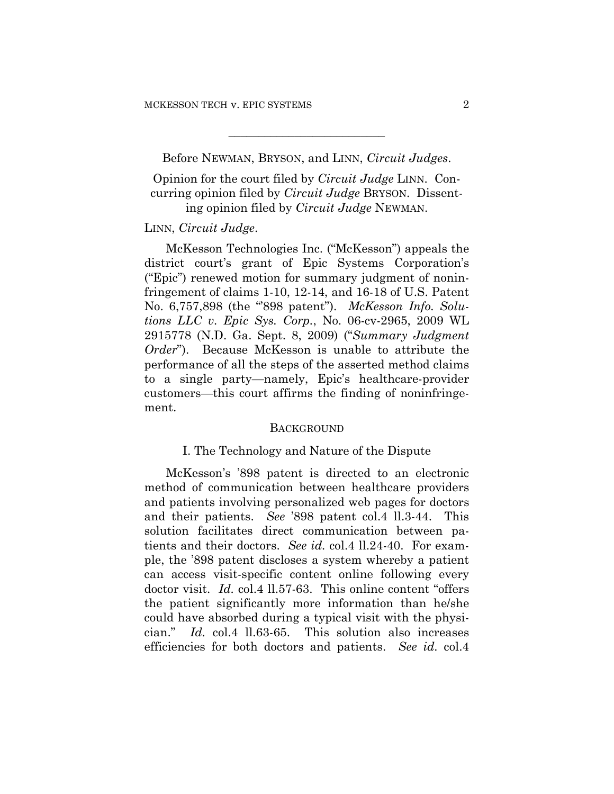Before NEWMAN, BRYSON, and LINN, *Circuit Judges*.

**\_\_\_\_\_\_\_\_\_\_\_\_\_\_\_\_\_\_\_\_\_\_\_\_\_\_** 

Opinion for the court filed by *Circuit Judge* LINN. Concurring opinion filed by *Circuit Judge* BRYSON. Dissenting opinion filed by *Circuit Judge* NEWMAN.

### LINN, *Circuit Judge*.

McKesson Technologies Inc. ("McKesson") appeals the district court's grant of Epic Systems Corporation's ("Epic") renewed motion for summary judgment of noninfringement of claims 1-10, 12-14, and 16-18 of U.S. Patent No. 6,757,898 (the "'898 patent"). *McKesson Info. Solutions LLC v. Epic Sys. Corp.*, No. 06-cv-2965, 2009 WL 2915778 (N.D. Ga. Sept. 8, 2009) ("*Summary Judgment Order*"). Because McKesson is unable to attribute the performance of all the steps of the asserted method claims to a single party—namely, Epic's healthcare-provider customers—this court affirms the finding of noninfringement.

#### **BACKGROUND**

#### I. The Technology and Nature of the Dispute

McKesson's '898 patent is directed to an electronic method of communication between healthcare providers and patients involving personalized web pages for doctors and their patients. *See* '898 patent col.4 ll.3-44. This solution facilitates direct communication between patients and their doctors. *See id.* col.4 ll.24-40. For example, the '898 patent discloses a system whereby a patient can access visit-specific content online following every doctor visit. *Id.* col.4 ll.57-63. This online content "offers the patient significantly more information than he/she could have absorbed during a typical visit with the physician." *Id.* col.4 ll.63-65. This solution also increases efficiencies for both doctors and patients. *See id.* col.4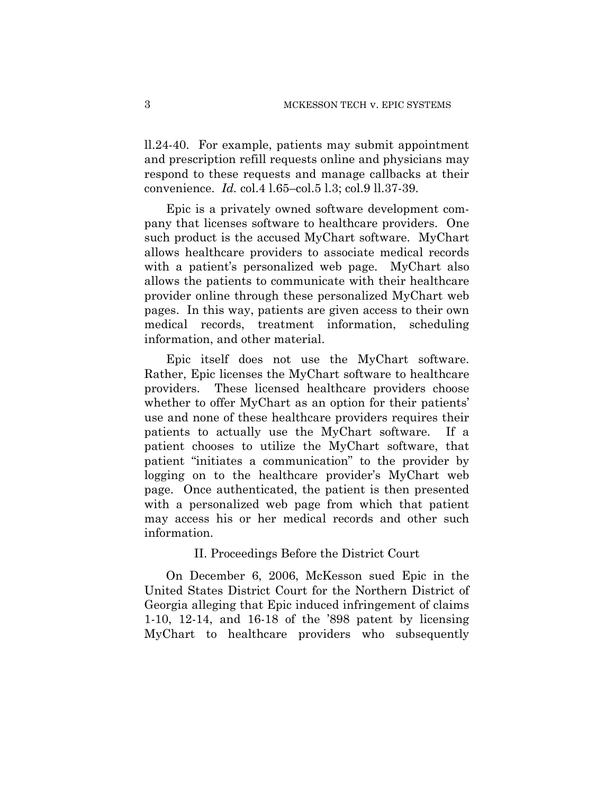ll.24-40. For example, patients may submit appointment and prescription refill requests online and physicians may respond to these requests and manage callbacks at their convenience. *Id.* col.4 l.65–col.5 l.3; col.9 ll.37-39.

Epic is a privately owned software development company that licenses software to healthcare providers. One such product is the accused MyChart software. MyChart allows healthcare providers to associate medical records with a patient's personalized web page. MyChart also allows the patients to communicate with their healthcare provider online through these personalized MyChart web pages. In this way, patients are given access to their own medical records, treatment information, scheduling information, and other material.

Epic itself does not use the MyChart software. Rather, Epic licenses the MyChart software to healthcare providers. These licensed healthcare providers choose whether to offer MyChart as an option for their patients' use and none of these healthcare providers requires their patients to actually use the MyChart software. If a patient chooses to utilize the MyChart software, that patient "initiates a communication" to the provider by logging on to the healthcare provider's MyChart web page. Once authenticated, the patient is then presented with a personalized web page from which that patient may access his or her medical records and other such information.

#### II. Proceedings Before the District Court

On December 6, 2006, McKesson sued Epic in the United States District Court for the Northern District of Georgia alleging that Epic induced infringement of claims 1-10, 12-14, and 16-18 of the '898 patent by licensing MyChart to healthcare providers who subsequently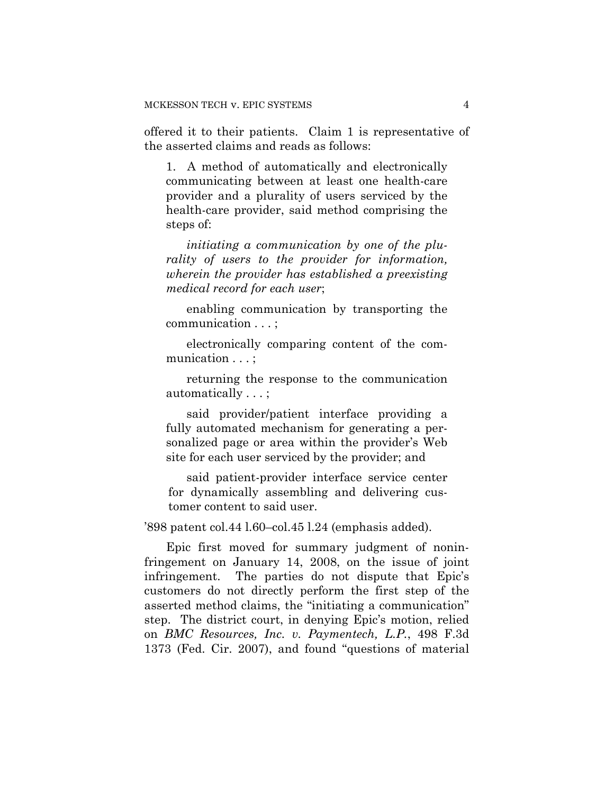offered it to their patients. Claim 1 is representative of the asserted claims and reads as follows:

1. A method of automatically and electronically communicating between at least one health-care provider and a plurality of users serviced by the health-care provider, said method comprising the steps of:

*initiating a communication by one of the plurality of users to the provider for information, wherein the provider has established a preexisting medical record for each user*;

enabling communication by transporting the communication . . . ;

electronically comparing content of the communication . . . ;

returning the response to the communication automatically . . . ;

said provider/patient interface providing a fully automated mechanism for generating a personalized page or area within the provider's Web site for each user serviced by the provider; and

said patient-provider interface service center for dynamically assembling and delivering customer content to said user.

'898 patent col.44 l.60–col.45 l.24 (emphasis added).

Epic first moved for summary judgment of noninfringement on January 14, 2008, on the issue of joint infringement. The parties do not dispute that Epic's customers do not directly perform the first step of the asserted method claims, the "initiating a communication" step. The district court, in denying Epic's motion, relied on *BMC Resources, Inc. v. Paymentech, L.P.*, 498 F.3d 1373 (Fed. Cir. 2007), and found "questions of material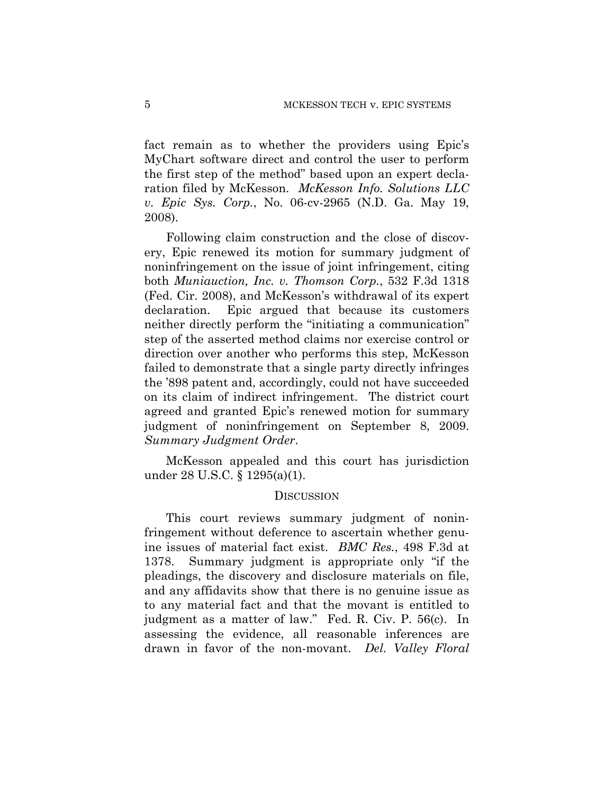fact remain as to whether the providers using Epic's MyChart software direct and control the user to perform the first step of the method" based upon an expert declaration filed by McKesson. *McKesson Info. Solutions LLC v. Epic Sys. Corp.*, No. 06-cv-2965 (N.D. Ga. May 19, 2008).

Following claim construction and the close of discovery, Epic renewed its motion for summary judgment of noninfringement on the issue of joint infringement, citing both *Muniauction, Inc. v. Thomson Corp.*, 532 F.3d 1318 (Fed. Cir. 2008), and McKesson's withdrawal of its expert declaration. Epic argued that because its customers neither directly perform the "initiating a communication" step of the asserted method claims nor exercise control or direction over another who performs this step, McKesson failed to demonstrate that a single party directly infringes the '898 patent and, accordingly, could not have succeeded on its claim of indirect infringement. The district court agreed and granted Epic's renewed motion for summary judgment of noninfringement on September 8, 2009. *Summary Judgment Order*.

McKesson appealed and this court has jurisdiction under 28 U.S.C. § 1295(a)(1).

### **DISCUSSION**

This court reviews summary judgment of noninfringement without deference to ascertain whether genuine issues of material fact exist. *BMC Res.*, 498 F.3d at 1378. Summary judgment is appropriate only "if the pleadings, the discovery and disclosure materials on file, and any affidavits show that there is no genuine issue as to any material fact and that the movant is entitled to judgment as a matter of law." Fed. R. Civ. P. 56(c). In assessing the evidence, all reasonable inferences are drawn in favor of the non-movant. *Del. Valley Floral*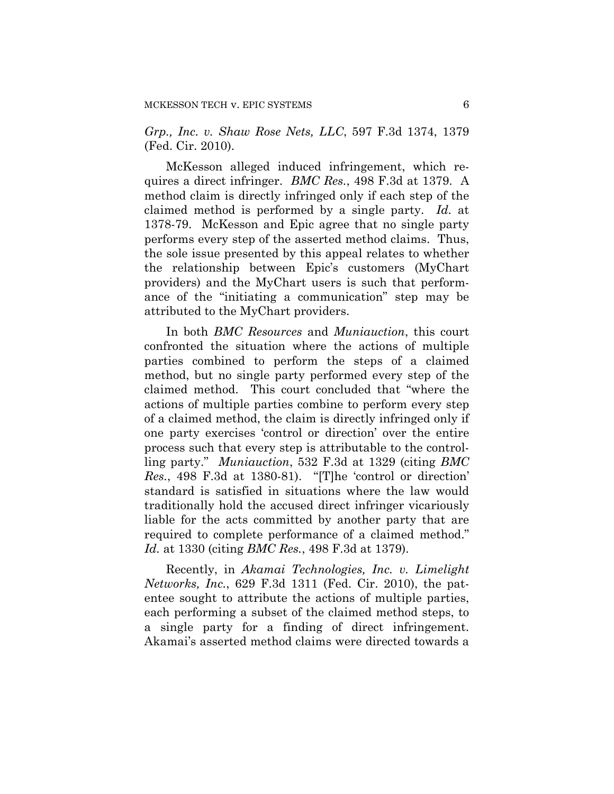*Grp., Inc. v. Shaw Rose Nets, LLC*, 597 F.3d 1374, 1379 (Fed. Cir. 2010).

McKesson alleged induced infringement, which requires a direct infringer. *BMC Res.*, 498 F.3d at 1379. A method claim is directly infringed only if each step of the claimed method is performed by a single party. *Id.* at 1378-79. McKesson and Epic agree that no single party performs every step of the asserted method claims. Thus, the sole issue presented by this appeal relates to whether the relationship between Epic's customers (MyChart providers) and the MyChart users is such that performance of the "initiating a communication" step may be attributed to the MyChart providers.

In both *BMC Resources* and *Muniauction*, this court confronted the situation where the actions of multiple parties combined to perform the steps of a claimed method, but no single party performed every step of the claimed method. This court concluded that "where the actions of multiple parties combine to perform every step of a claimed method, the claim is directly infringed only if one party exercises 'control or direction' over the entire process such that every step is attributable to the controlling party." *Muniauction*, 532 F.3d at 1329 (citing *BMC Res.*, 498 F.3d at 1380-81). "[T]he 'control or direction' standard is satisfied in situations where the law would traditionally hold the accused direct infringer vicariously liable for the acts committed by another party that are required to complete performance of a claimed method." *Id.* at 1330 (citing *BMC Res.*, 498 F.3d at 1379).

Recently, in *Akamai Technologies, Inc. v. Limelight Networks, Inc.*, 629 F.3d 1311 (Fed. Cir. 2010), the patentee sought to attribute the actions of multiple parties, each performing a subset of the claimed method steps, to a single party for a finding of direct infringement. Akamai's asserted method claims were directed towards a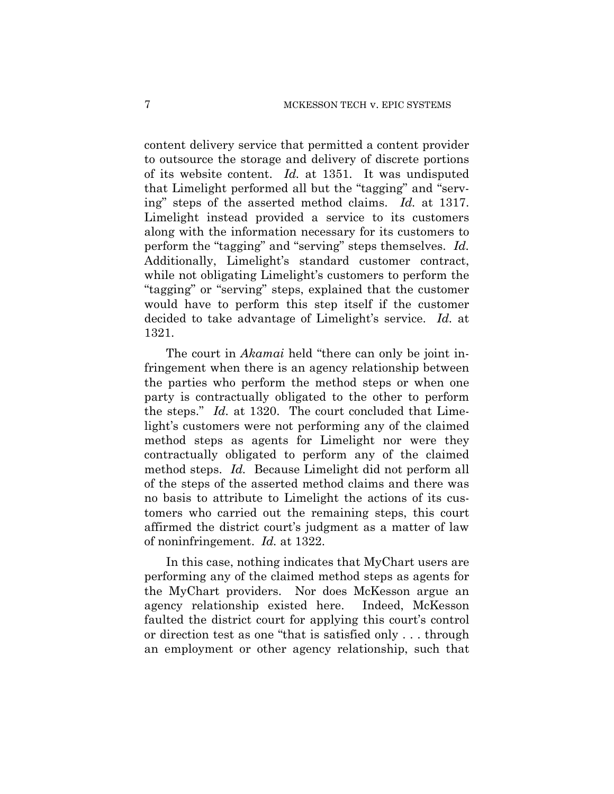content delivery service that permitted a content provider to outsource the storage and delivery of discrete portions of its website content. *Id.* at 1351. It was undisputed that Limelight performed all but the "tagging" and "serving" steps of the asserted method claims. *Id.* at 1317. Limelight instead provided a service to its customers along with the information necessary for its customers to perform the "tagging" and "serving" steps themselves. *Id.* Additionally, Limelight's standard customer contract, while not obligating Limelight's customers to perform the "tagging" or "serving" steps, explained that the customer would have to perform this step itself if the customer decided to take advantage of Limelight's service. *Id.* at 1321.

The court in *Akamai* held "there can only be joint infringement when there is an agency relationship between the parties who perform the method steps or when one party is contractually obligated to the other to perform the steps." *Id.* at 1320. The court concluded that Limelight's customers were not performing any of the claimed method steps as agents for Limelight nor were they contractually obligated to perform any of the claimed method steps. *Id.* Because Limelight did not perform all of the steps of the asserted method claims and there was no basis to attribute to Limelight the actions of its customers who carried out the remaining steps, this court affirmed the district court's judgment as a matter of law of noninfringement. *Id.* at 1322.

In this case, nothing indicates that MyChart users are performing any of the claimed method steps as agents for the MyChart providers. Nor does McKesson argue an agency relationship existed here. Indeed, McKesson faulted the district court for applying this court's control or direction test as one "that is satisfied only . . . through an employment or other agency relationship, such that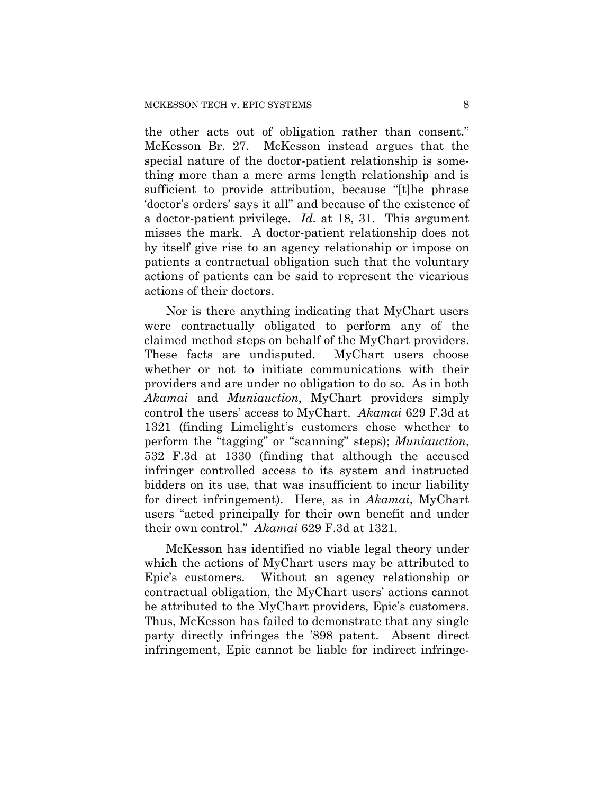the other acts out of obligation rather than consent." McKesson Br. 27. McKesson instead argues that the special nature of the doctor-patient relationship is something more than a mere arms length relationship and is sufficient to provide attribution, because "[t]he phrase 'doctor's orders' says it all" and because of the existence of a doctor-patient privilege. *Id.* at 18, 31. This argument misses the mark. A doctor-patient relationship does not by itself give rise to an agency relationship or impose on patients a contractual obligation such that the voluntary actions of patients can be said to represent the vicarious actions of their doctors.

Nor is there anything indicating that MyChart users were contractually obligated to perform any of the claimed method steps on behalf of the MyChart providers. These facts are undisputed. MyChart users choose whether or not to initiate communications with their providers and are under no obligation to do so. As in both *Akamai* and *Muniauction*, MyChart providers simply control the users' access to MyChart. *Akamai* 629 F.3d at 1321 (finding Limelight's customers chose whether to perform the "tagging" or "scanning" steps); *Muniauction*, 532 F.3d at 1330 (finding that although the accused infringer controlled access to its system and instructed bidders on its use, that was insufficient to incur liability for direct infringement). Here, as in *Akamai*, MyChart users "acted principally for their own benefit and under their own control." *Akamai* 629 F.3d at 1321.

McKesson has identified no viable legal theory under which the actions of MyChart users may be attributed to Epic's customers. Without an agency relationship or contractual obligation, the MyChart users' actions cannot be attributed to the MyChart providers, Epic's customers. Thus, McKesson has failed to demonstrate that any single party directly infringes the '898 patent. Absent direct infringement, Epic cannot be liable for indirect infringe-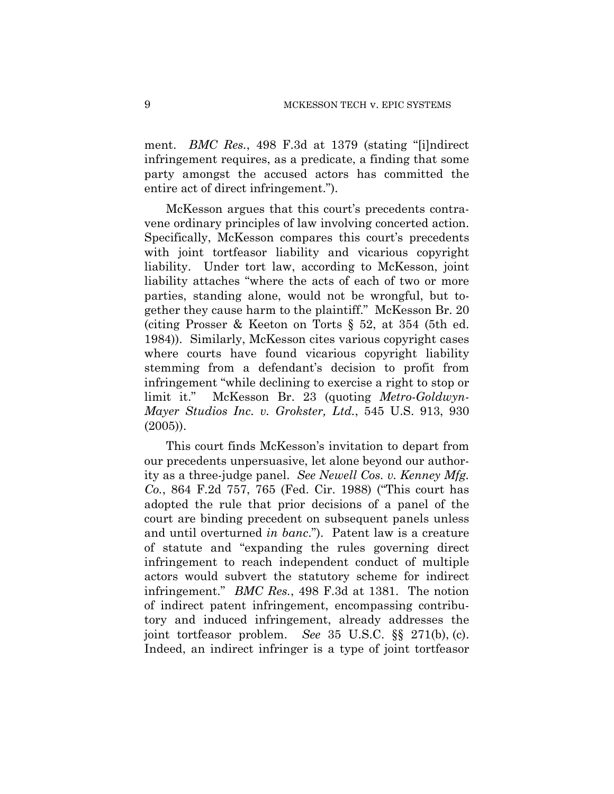ment. *BMC Res.*, 498 F.3d at 1379 (stating "[i]ndirect infringement requires, as a predicate, a finding that some party amongst the accused actors has committed the entire act of direct infringement.").

McKesson argues that this court's precedents contravene ordinary principles of law involving concerted action. Specifically, McKesson compares this court's precedents with joint tortfeasor liability and vicarious copyright liability. Under tort law, according to McKesson, joint liability attaches "where the acts of each of two or more parties, standing alone, would not be wrongful, but together they cause harm to the plaintiff." McKesson Br. 20 (citing Prosser & Keeton on Torts § 52, at 354 (5th ed. 1984)). Similarly, McKesson cites various copyright cases where courts have found vicarious copyright liability stemming from a defendant's decision to profit from infringement "while declining to exercise a right to stop or limit it." McKesson Br. 23 (quoting *Metro-Goldwyn-Mayer Studios Inc. v. Grokster, Ltd.*, 545 U.S. 913, 930 (2005)).

This court finds McKesson's invitation to depart from our precedents unpersuasive, let alone beyond our authority as a three-judge panel. *See Newell Cos. v. Kenney Mfg. Co.*, 864 F.2d 757, 765 (Fed. Cir. 1988) ("This court has adopted the rule that prior decisions of a panel of the court are binding precedent on subsequent panels unless and until overturned *in banc*."). Patent law is a creature of statute and "expanding the rules governing direct infringement to reach independent conduct of multiple actors would subvert the statutory scheme for indirect infringement." *BMC Res.*, 498 F.3d at 1381. The notion of indirect patent infringement, encompassing contributory and induced infringement, already addresses the joint tortfeasor problem. *See* 35 U.S.C. §§ 271(b), (c). Indeed, an indirect infringer is a type of joint tortfeasor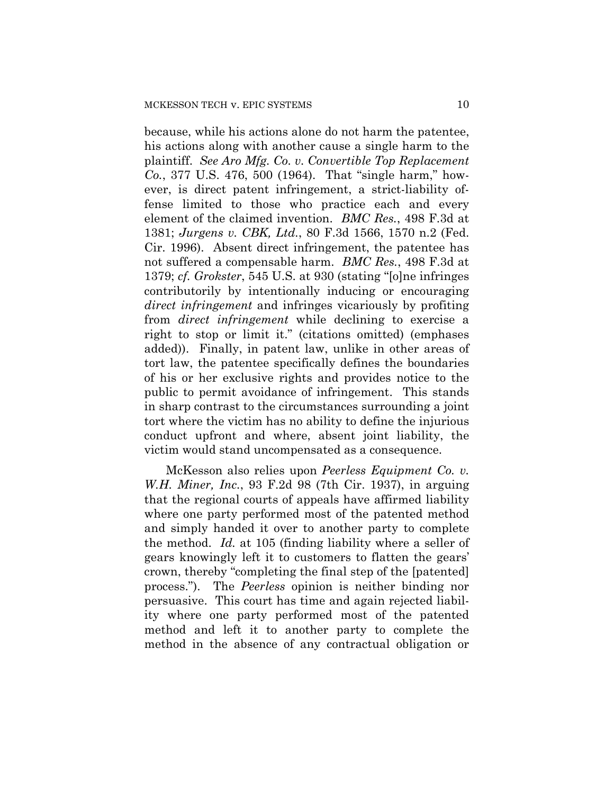because, while his actions alone do not harm the patentee, his actions along with another cause a single harm to the plaintiff. *See Aro Mfg. Co. v. Convertible Top Replacement Co.*, 377 U.S. 476, 500 (1964). That "single harm," however, is direct patent infringement, a strict-liability offense limited to those who practice each and every element of the claimed invention. *BMC Res.*, 498 F.3d at 1381; *Jurgens v. CBK, Ltd.*, 80 F.3d 1566, 1570 n.2 (Fed. Cir. 1996). Absent direct infringement, the patentee has not suffered a compensable harm. *BMC Res.*, 498 F.3d at 1379; *cf. Grokster*, 545 U.S. at 930 (stating "[o]ne infringes contributorily by intentionally inducing or encouraging *direct infringement* and infringes vicariously by profiting from *direct infringement* while declining to exercise a right to stop or limit it." (citations omitted) (emphases added)). Finally, in patent law, unlike in other areas of tort law, the patentee specifically defines the boundaries of his or her exclusive rights and provides notice to the public to permit avoidance of infringement. This stands in sharp contrast to the circumstances surrounding a joint tort where the victim has no ability to define the injurious conduct upfront and where, absent joint liability, the victim would stand uncompensated as a consequence.

McKesson also relies upon *Peerless Equipment Co. v. W.H. Miner, Inc.*, 93 F.2d 98 (7th Cir. 1937), in arguing that the regional courts of appeals have affirmed liability where one party performed most of the patented method and simply handed it over to another party to complete the method. *Id.* at 105 (finding liability where a seller of gears knowingly left it to customers to flatten the gears' crown, thereby "completing the final step of the [patented] process."). The *Peerless* opinion is neither binding nor persuasive. This court has time and again rejected liability where one party performed most of the patented method and left it to another party to complete the method in the absence of any contractual obligation or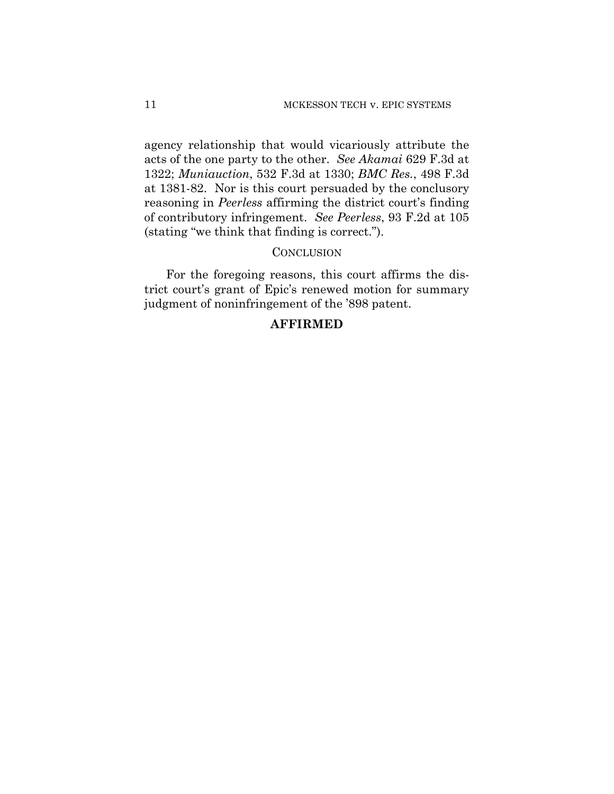agency relationship that would vicariously attribute the acts of the one party to the other. *See Akamai* 629 F.3d at 1322; *Muniauction*, 532 F.3d at 1330; *BMC Res.*, 498 F.3d at 1381-82. Nor is this court persuaded by the conclusory reasoning in *Peerless* affirming the district court's finding of contributory infringement. *See Peerless*, 93 F.2d at 105 (stating "we think that finding is correct.").

### **CONCLUSION**

For the foregoing reasons, this court affirms the district court's grant of Epic's renewed motion for summary judgment of noninfringement of the '898 patent.

## **AFFIRMED**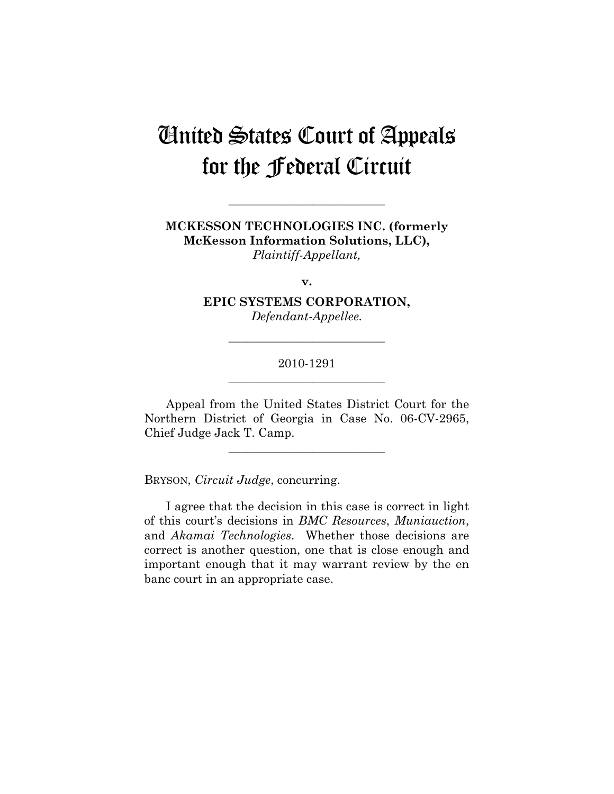# United States Court of Appeals for the Federal Circuit

**MCKESSON TECHNOLOGIES INC. (formerly McKesson Information Solutions, LLC),**  *Plaintiff-Appellant,* 

**\_\_\_\_\_\_\_\_\_\_\_\_\_\_\_\_\_\_\_\_\_\_\_\_\_\_** 

**v.** 

**EPIC SYSTEMS CORPORATION,**  *Defendant-Appellee.* 

# 2010-1291 **\_\_\_\_\_\_\_\_\_\_\_\_\_\_\_\_\_\_\_\_\_\_\_\_\_\_**

**\_\_\_\_\_\_\_\_\_\_\_\_\_\_\_\_\_\_\_\_\_\_\_\_\_\_** 

Appeal from the United States District Court for the Northern District of Georgia in Case No. 06-CV-2965, Chief Judge Jack T. Camp.

**\_\_\_\_\_\_\_\_\_\_\_\_\_\_\_\_\_\_\_\_\_\_\_\_\_\_** 

BRYSON, *Circuit Judge*, concurring.

I agree that the decision in this case is correct in light of this court's decisions in *BMC Resources*, *Muniauction*, and *Akamai Technologies*. Whether those decisions are correct is another question, one that is close enough and important enough that it may warrant review by the en banc court in an appropriate case.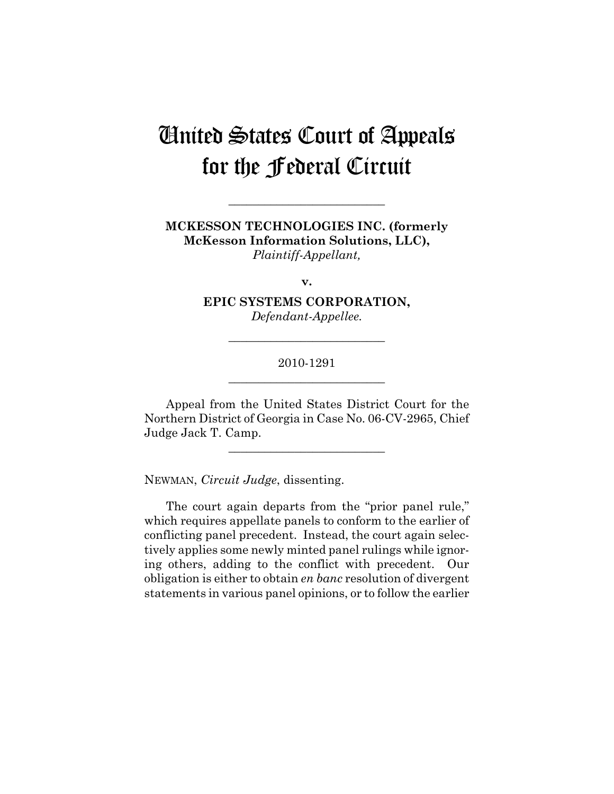# United States Court of Appeals for the Federal Circuit

**MCKESSON TECHNOLOGIES INC. (formerly McKesson Information Solutions, LLC),**  *Plaintiff-Appellant,* 

**\_\_\_\_\_\_\_\_\_\_\_\_\_\_\_\_\_\_\_\_\_\_\_\_\_\_** 

**v.** 

**EPIC SYSTEMS CORPORATION,**  *Defendant-Appellee.* 

## 2010-1291 **\_\_\_\_\_\_\_\_\_\_\_\_\_\_\_\_\_\_\_\_\_\_\_\_\_\_**

**\_\_\_\_\_\_\_\_\_\_\_\_\_\_\_\_\_\_\_\_\_\_\_\_\_\_** 

Appeal from the United States District Court for the Northern District of Georgia in Case No. 06-CV-2965, Chief Judge Jack T. Camp.

**\_\_\_\_\_\_\_\_\_\_\_\_\_\_\_\_\_\_\_\_\_\_\_\_\_\_** 

NEWMAN, *Circuit Judge*, dissenting.

The court again departs from the "prior panel rule," which requires appellate panels to conform to the earlier of conflicting panel precedent. Instead, the court again selectively applies some newly minted panel rulings while ignoring others, adding to the conflict with precedent. Our obligation is either to obtain *en banc* resolution of divergent statements in various panel opinions, or to follow the earlier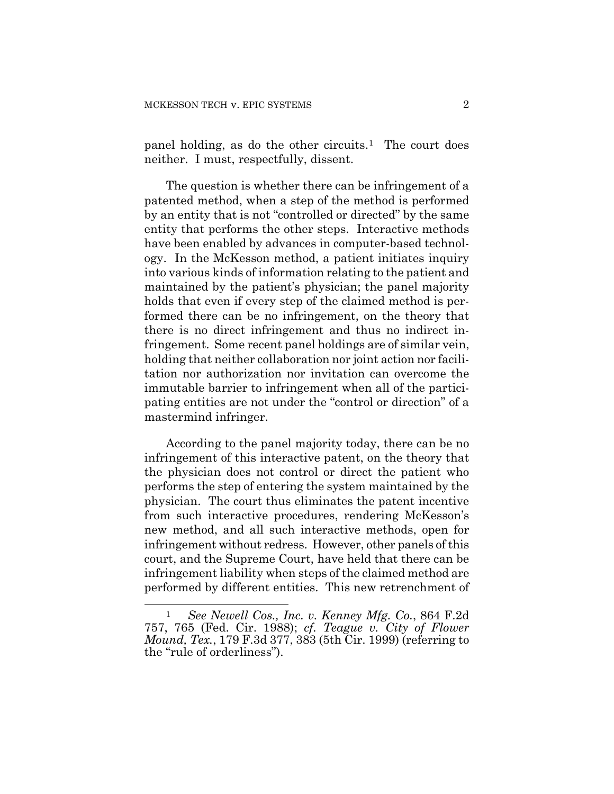panel holding, as do the other circuits.<sup>[1](#page-13-0)</sup> The court does neither. I must, respectfully, dissent.

The question is whether there can be infringement of a patented method, when a step of the method is performed by an entity that is not "controlled or directed" by the same entity that performs the other steps. Interactive methods have been enabled by advances in computer-based technology. In the McKesson method, a patient initiates inquiry into various kinds of information relating to the patient and maintained by the patient's physician; the panel majority holds that even if every step of the claimed method is performed there can be no infringement, on the theory that there is no direct infringement and thus no indirect infringement. Some recent panel holdings are of similar vein, holding that neither collaboration nor joint action nor facilitation nor authorization nor invitation can overcome the immutable barrier to infringement when all of the participating entities are not under the "control or direction" of a mastermind infringer.

According to the panel majority today, there can be no infringement of this interactive patent, on the theory that the physician does not control or direct the patient who performs the step of entering the system maintained by the physician. The court thus eliminates the patent incentive from such interactive procedures, rendering McKesson's new method, and all such interactive methods, open for infringement without redress. However, other panels of this court, and the Supreme Court, have held that there can be infringement liability when steps of the claimed method are performed by different entities. This new retrenchment of

<span id="page-13-0"></span><sup>&</sup>lt;u>.</u> <sup>1</sup>*See Newell Cos., Inc. v. Kenney Mfg. Co.*, 864 F.2d 757, 765 (Fed. Cir. 1988); *cf. Teague v. City of Flower Mound, Tex.*, 179 F.3d 377, 383 (5th Cir. 1999) (referring to the "rule of orderliness").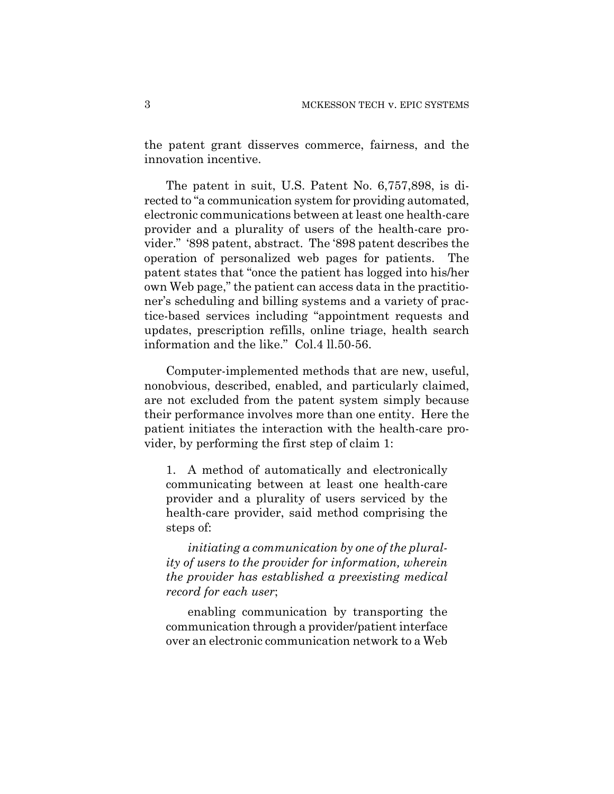the patent grant disserves commerce, fairness, and the innovation incentive.

The patent in suit, U.S. Patent No. 6,757,898, is directed to "a communication system for providing automated, electronic communications between at least one health-care provider and a plurality of users of the health-care provider." '898 patent, abstract. The '898 patent describes the operation of personalized web pages for patients. The patent states that "once the patient has logged into his/her own Web page," the patient can access data in the practitioner's scheduling and billing systems and a variety of practice-based services including "appointment requests and updates, prescription refills, online triage, health search information and the like." Col.4 ll.50-56.

Computer-implemented methods that are new, useful, nonobvious, described, enabled, and particularly claimed, are not excluded from the patent system simply because their performance involves more than one entity. Here the patient initiates the interaction with the health-care provider, by performing the first step of claim 1:

1. A method of automatically and electronically communicating between at least one health-care provider and a plurality of users serviced by the health-care provider, said method comprising the steps of:

*initiating a communication by one of the plurality of users to the provider for information, wherein the provider has established a preexisting medical record for each user*;

 enabling communication by transporting the communication through a provider/patient interface over an electronic communication network to a Web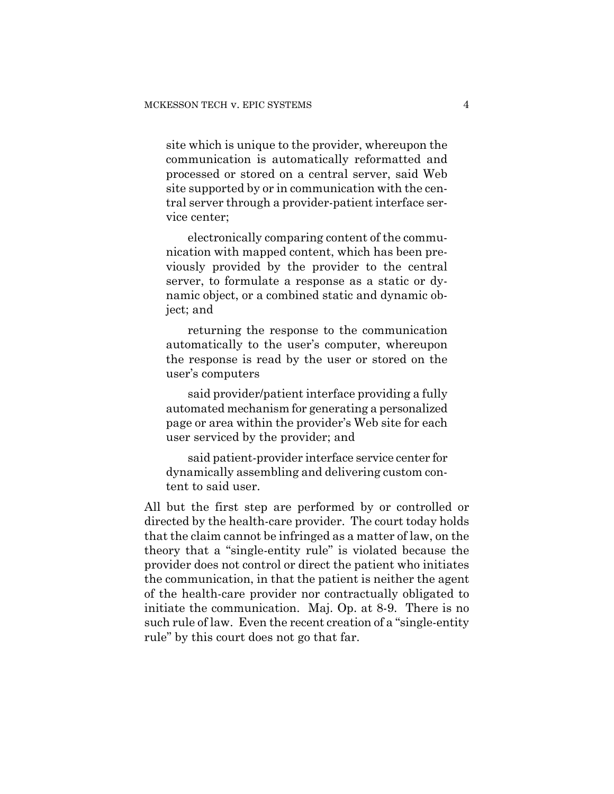site which is unique to the provider, whereupon the communication is automatically reformatted and processed or stored on a central server, said Web site supported by or in communication with the central server through a provider-patient interface service center;

 electronically comparing content of the communication with mapped content, which has been previously provided by the provider to the central server, to formulate a response as a static or dynamic object, or a combined static and dynamic object; and

 returning the response to the communication automatically to the user's computer, whereupon the response is read by the user or stored on the user's computers

 said provider/patient interface providing a fully automated mechanism for generating a personalized page or area within the provider's Web site for each user serviced by the provider; and

 said patient-provider interface service center for dynamically assembling and delivering custom content to said user.

All but the first step are performed by or controlled or directed by the health-care provider. The court today holds that the claim cannot be infringed as a matter of law, on the theory that a "single-entity rule" is violated because the provider does not control or direct the patient who initiates the communication, in that the patient is neither the agent of the health-care provider nor contractually obligated to initiate the communication. Maj. Op. at 8-9. There is no such rule of law. Even the recent creation of a "single-entity rule" by this court does not go that far.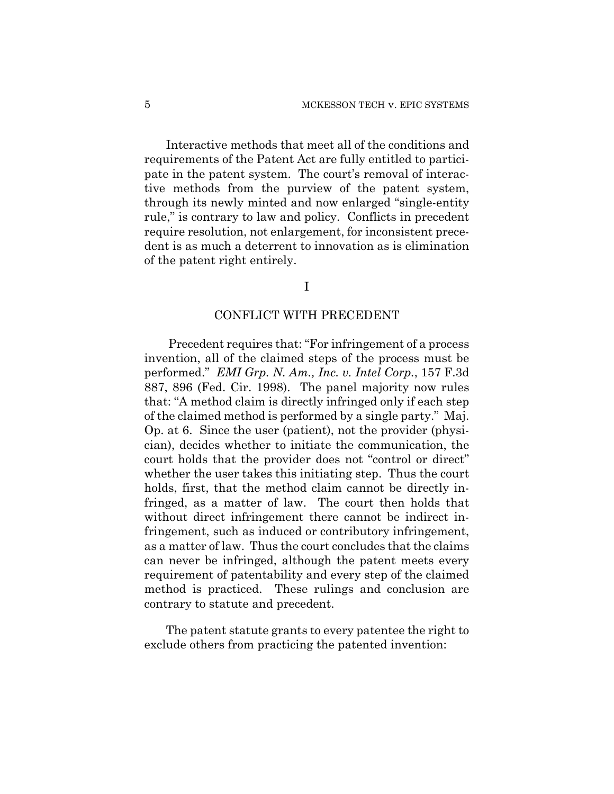Interactive methods that meet all of the conditions and requirements of the Patent Act are fully entitled to participate in the patent system. The court's removal of interactive methods from the purview of the patent system, through its newly minted and now enlarged "single-entity rule," is contrary to law and policy. Conflicts in precedent require resolution, not enlargement, for inconsistent precedent is as much a deterrent to innovation as is elimination of the patent right entirely.

I

## CONFLICT WITH PRECEDENT

Precedent requires that: "For infringement of a process invention, all of the claimed steps of the process must be performed." *EMI Grp. N. Am., Inc. v. Intel Corp.*, 157 F.3d 887, 896 (Fed. Cir. 1998). The panel majority now rules that: "A method claim is directly infringed only if each step of the claimed method is performed by a single party." Maj. Op. at 6. Since the user (patient), not the provider (physician), decides whether to initiate the communication, the court holds that the provider does not "control or direct" whether the user takes this initiating step. Thus the court holds, first, that the method claim cannot be directly infringed, as a matter of law. The court then holds that without direct infringement there cannot be indirect infringement, such as induced or contributory infringement, as a matter of law. Thus the court concludes that the claims can never be infringed, although the patent meets every requirement of patentability and every step of the claimed method is practiced. These rulings and conclusion are contrary to statute and precedent.

The patent statute grants to every patentee the right to exclude others from practicing the patented invention: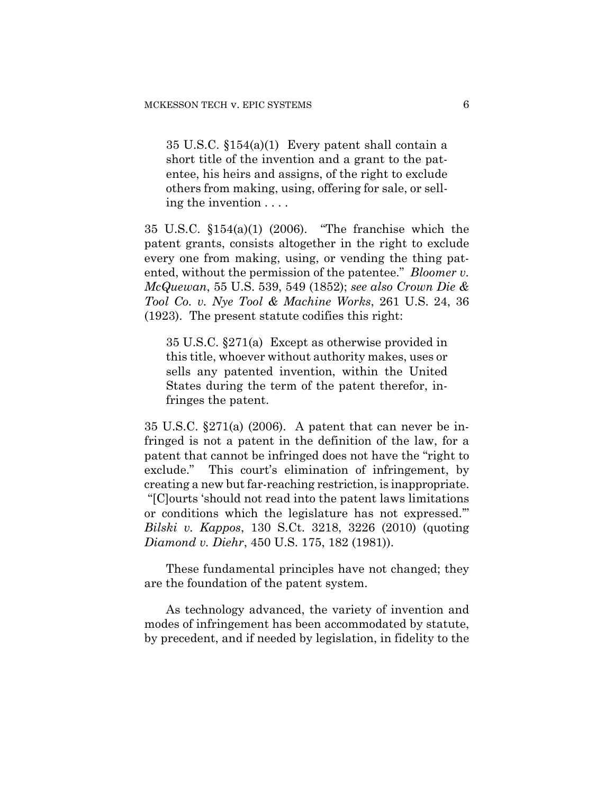35 U.S.C. §154(a)(1) Every patent shall contain a short title of the invention and a grant to the patentee, his heirs and assigns, of the right to exclude others from making, using, offering for sale, or selling the invention . . . .

35 U.S.C. §154(a)(1) (2006). "The franchise which the patent grants, consists altogether in the right to exclude every one from making, using, or vending the thing patented, without the permission of the patentee." *Bloomer v. McQuewan*, 55 U.S. 539, 549 (1852); *see also Crown Die & Tool Co. v. Nye Tool & Machine Works*, 261 U.S. 24, 36 (1923). The present statute codifies this right:

35 U.S.C. §271(a) Except as otherwise provided in this title, whoever without authority makes, uses or sells any patented invention, within the United States during the term of the patent therefor, infringes the patent.

35 U.S.C. §271(a) (2006). A patent that can never be infringed is not a patent in the definition of the law, for a patent that cannot be infringed does not have the "right to exclude." This court's elimination of infringement, by creating a new but far-reaching restriction, is inappropriate. "[C]ourts 'should not read into the patent laws limitations or conditions which the legislature has not expressed.'" *Bilski v. Kappos*, 130 S.Ct. 3218, 3226 (2010) (quoting *Diamond v. Diehr*, 450 U.S. 175, 182 (1981)).

These fundamental principles have not changed; they are the foundation of the patent system.

As technology advanced, the variety of invention and modes of infringement has been accommodated by statute, by precedent, and if needed by legislation, in fidelity to the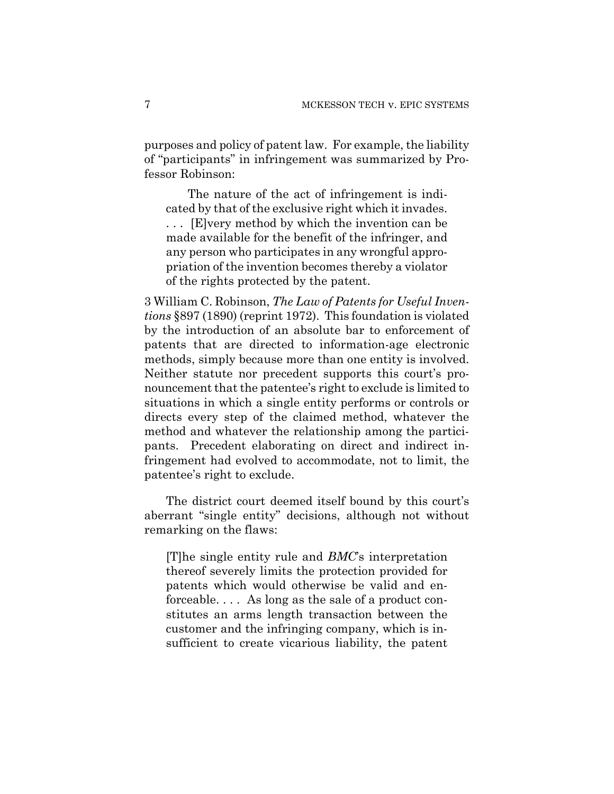purposes and policy of patent law. For example, the liability of "participants" in infringement was summarized by Professor Robinson:

 The nature of the act of infringement is indicated by that of the exclusive right which it invades. . . . [E]very method by which the invention can be made available for the benefit of the infringer, and any person who participates in any wrongful appropriation of the invention becomes thereby a violator of the rights protected by the patent.

3 William C. Robinson, *The Law of Patents for Useful Inventions* §897 (1890) (reprint 1972). This foundation is violated by the introduction of an absolute bar to enforcement of patents that are directed to information-age electronic methods, simply because more than one entity is involved. Neither statute nor precedent supports this court's pronouncement that the patentee's right to exclude is limited to situations in which a single entity performs or controls or directs every step of the claimed method, whatever the method and whatever the relationship among the participants. Precedent elaborating on direct and indirect infringement had evolved to accommodate, not to limit, the patentee's right to exclude.

The district court deemed itself bound by this court's aberrant "single entity" decisions, although not without remarking on the flaws:

[T]he single entity rule and *BMC*'s interpretation thereof severely limits the protection provided for patents which would otherwise be valid and enforceable. . . . As long as the sale of a product constitutes an arms length transaction between the customer and the infringing company, which is insufficient to create vicarious liability, the patent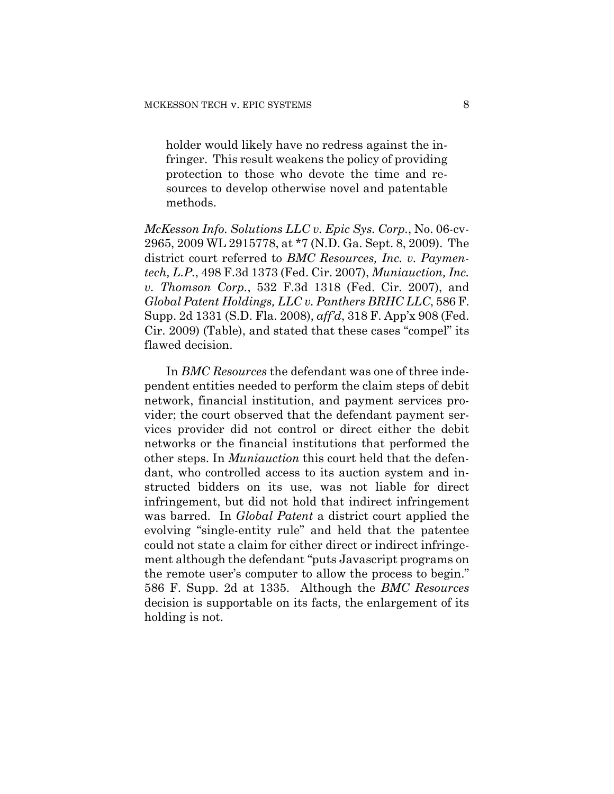holder would likely have no redress against the infringer. This result weakens the policy of providing protection to those who devote the time and resources to develop otherwise novel and patentable methods.

*McKesson Info. Solutions LLC v. Epic Sys. Corp.*, No. 06-cv-2965, 2009 WL 2915778, at \*7 (N.D. Ga. Sept. 8, 2009). The district court referred to *BMC Resources, Inc. v. Paymentech, L.P.*, 498 F.3d 1373 (Fed. Cir. 2007), *Muniauction, Inc. v. Thomson Corp.*, 532 F.3d 1318 (Fed. Cir. 2007), and *Global Patent Holdings, LLC v. Panthers BRHC LLC*, 586 F. Supp. 2d 1331 (S.D. Fla. 2008), *aff'd*, 318 F. App'x 908 (Fed. Cir. 2009) (Table), and stated that these cases "compel" its flawed decision.

In *BMC Resources* the defendant was one of three independent entities needed to perform the claim steps of debit network, financial institution, and payment services provider; the court observed that the defendant payment services provider did not control or direct either the debit networks or the financial institutions that performed the other steps. In *Muniauction* this court held that the defendant, who controlled access to its auction system and instructed bidders on its use, was not liable for direct infringement, but did not hold that indirect infringement was barred. In *Global Patent* a district court applied the evolving "single-entity rule" and held that the patentee could not state a claim for either direct or indirect infringement although the defendant "puts Javascript programs on the remote user's computer to allow the process to begin." 586 F. Supp. 2d at 1335. Although the *BMC Resources* decision is supportable on its facts, the enlargement of its holding is not.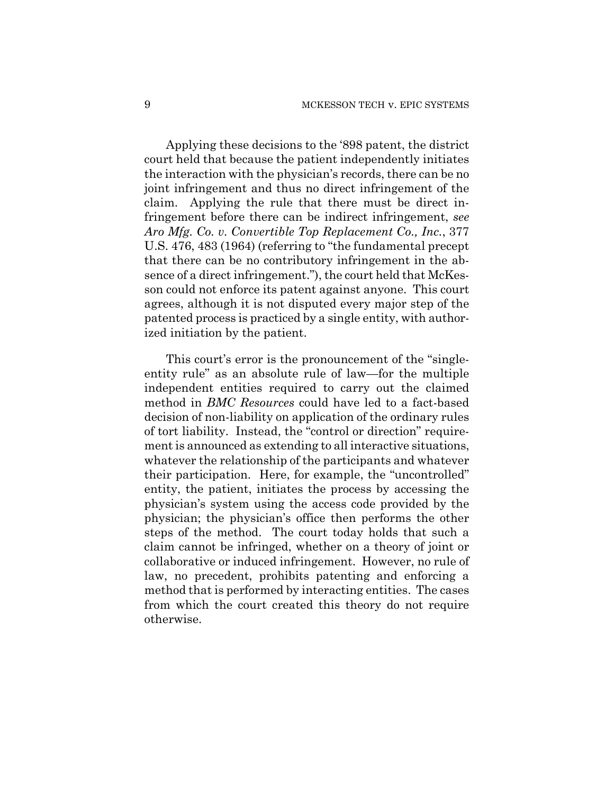Applying these decisions to the '898 patent, the district court held that because the patient independently initiates the interaction with the physician's records, there can be no joint infringement and thus no direct infringement of the claim. Applying the rule that there must be direct infringement before there can be indirect infringement, *see Aro Mfg. Co. v. Convertible Top Replacement Co., Inc.*, 377 U.S. 476, 483 (1964) (referring to "the fundamental precept that there can be no contributory infringement in the absence of a direct infringement."), the court held that McKesson could not enforce its patent against anyone. This court agrees, although it is not disputed every major step of the patented process is practiced by a single entity, with authorized initiation by the patient.

This court's error is the pronouncement of the "singleentity rule" as an absolute rule of law—for the multiple independent entities required to carry out the claimed method in *BMC Resources* could have led to a fact-based decision of non-liability on application of the ordinary rules of tort liability. Instead, the "control or direction" requirement is announced as extending to all interactive situations, whatever the relationship of the participants and whatever their participation. Here, for example, the "uncontrolled" entity, the patient, initiates the process by accessing the physician's system using the access code provided by the physician; the physician's office then performs the other steps of the method. The court today holds that such a claim cannot be infringed, whether on a theory of joint or collaborative or induced infringement. However, no rule of law, no precedent, prohibits patenting and enforcing a method that is performed by interacting entities. The cases from which the court created this theory do not require otherwise.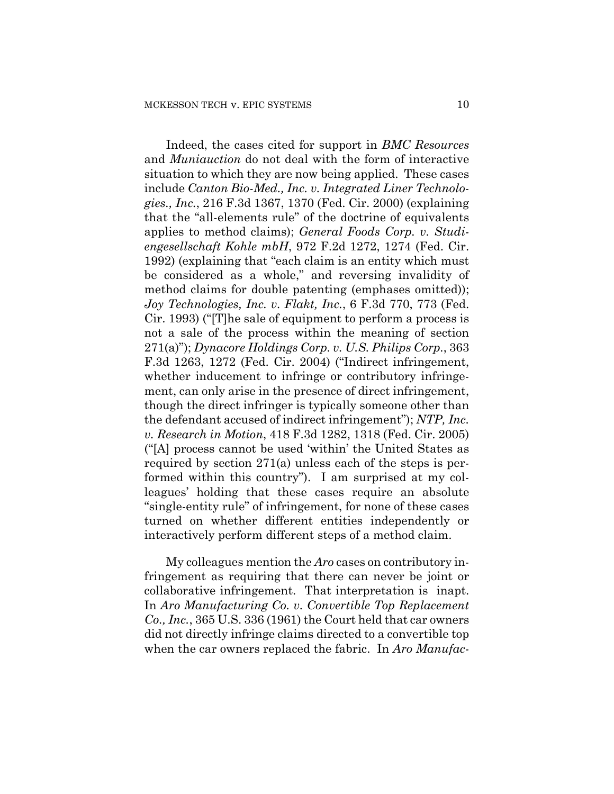Indeed, the cases cited for support in *BMC Resources* and *Muniauction* do not deal with the form of interactive situation to which they are now being applied. These cases include *Canton Bio-Med., Inc. v. Integrated Liner Technologies., Inc.*, 216 F.3d 1367, 1370 (Fed. Cir. 2000) (explaining that the "all-elements rule" of the doctrine of equivalents applies to method claims); *General Foods Corp. v. Studiengesellschaft Kohle mbH*, 972 F.2d 1272, 1274 (Fed. Cir. 1992) (explaining that "each claim is an entity which must be considered as a whole," and reversing invalidity of method claims for double patenting (emphases omitted)); *Joy Technologies, Inc. v. Flakt, Inc.*, 6 F.3d 770, 773 (Fed. Cir. 1993) ("[T]he sale of equipment to perform a process is not a sale of the process within the meaning of section 271(a)"); *Dynacore Holdings Corp. v. U.S. Philips Corp.*, 363 F.3d 1263, 1272 (Fed. Cir. 2004) ("Indirect infringement, whether inducement to infringe or contributory infringement, can only arise in the presence of direct infringement, though the direct infringer is typically someone other than the defendant accused of indirect infringement"); *NTP, Inc. v. Research in Motion*, 418 F.3d 1282, 1318 (Fed. Cir. 2005) ("[A] process cannot be used 'within' the United States as required by section 271(a) unless each of the steps is performed within this country"). I am surprised at my colleagues' holding that these cases require an absolute "single-entity rule" of infringement, for none of these cases turned on whether different entities independently or interactively perform different steps of a method claim.

My colleagues mention the *Aro* cases on contributory infringement as requiring that there can never be joint or collaborative infringement. That interpretation is inapt. In *Aro Manufacturing Co. v. Convertible Top Replacement Co., Inc.*, 365 U.S. 336 (1961) the Court held that car owners did not directly infringe claims directed to a convertible top when the car owners replaced the fabric. In *Aro Manufac-*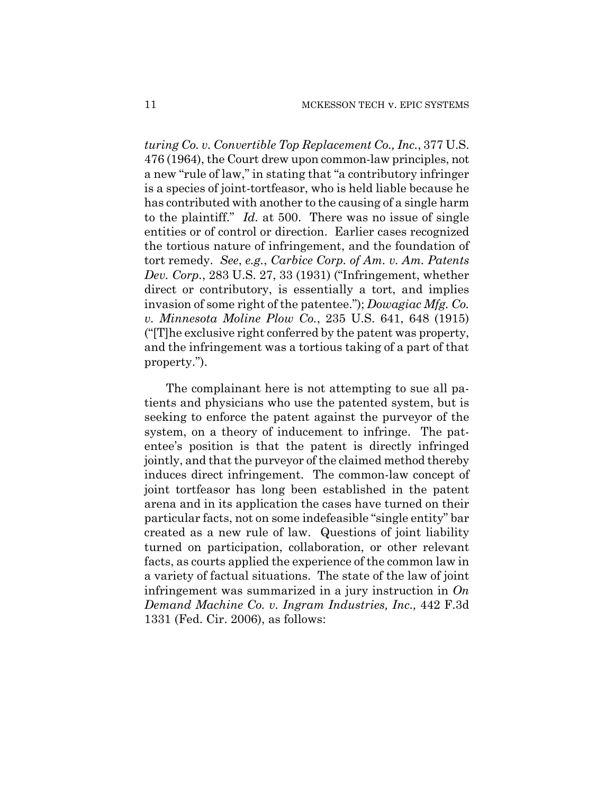*turing Co. v. Convertible Top Replacement Co., Inc.*, 377 U.S. 476 (1964), the Court drew upon common-law principles, not a new "rule of law," in stating that "a contributory infringer is a species of joint-tortfeasor, who is held liable because he has contributed with another to the causing of a single harm to the plaintiff." *Id.* at 500. There was no issue of single entities or of control or direction. Earlier cases recognized the tortious nature of infringement, and the foundation of tort remedy. *See*, *e.g.*, *Carbice Corp. of Am. v. Am. Patents Dev. Corp.*, 283 U.S. 27, 33 (1931) ("Infringement, whether direct or contributory, is essentially a tort, and implies invasion of some right of the patentee."); *Dowagiac Mfg. Co. v. Minnesota Moline Plow Co.*, 235 U.S. 641, 648 (1915) ("[T]he exclusive right conferred by the patent was property, and the infringement was a tortious taking of a part of that property.").

The complainant here is not attempting to sue all patients and physicians who use the patented system, but is seeking to enforce the patent against the purveyor of the system, on a theory of inducement to infringe. The patentee's position is that the patent is directly infringed jointly, and that the purveyor of the claimed method thereby induces direct infringement. The common-law concept of joint tortfeasor has long been established in the patent arena and in its application the cases have turned on their particular facts, not on some indefeasible "single entity" bar created as a new rule of law. Questions of joint liability turned on participation, collaboration, or other relevant facts, as courts applied the experience of the common law in a variety of factual situations. The state of the law of joint infringement was summarized in a jury instruction in *On Demand Machine Co. v. Ingram Industries, Inc.,* 442 F.3d 1331 (Fed. Cir. 2006), as follows: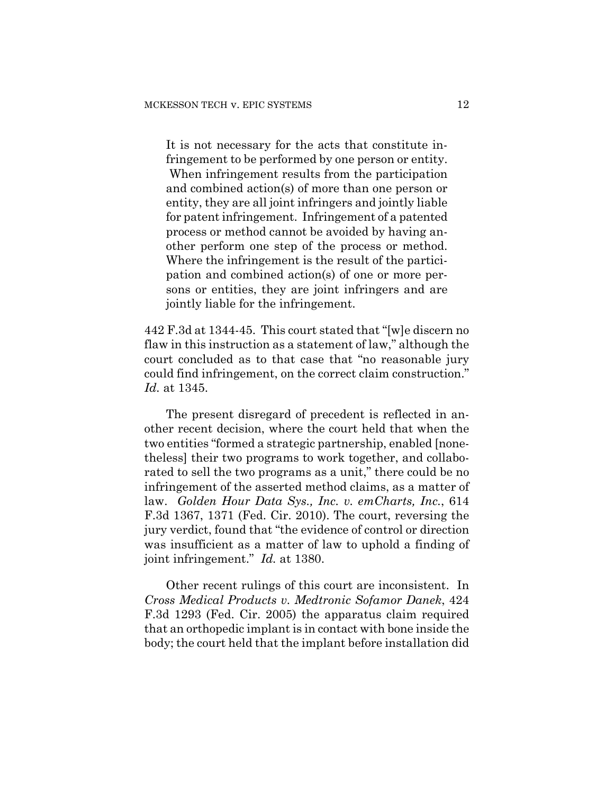It is not necessary for the acts that constitute infringement to be performed by one person or entity. When infringement results from the participation and combined action(s) of more than one person or entity, they are all joint infringers and jointly liable for patent infringement. Infringement of a patented process or method cannot be avoided by having another perform one step of the process or method. Where the infringement is the result of the participation and combined action(s) of one or more persons or entities, they are joint infringers and are jointly liable for the infringement.

442 F.3d at 1344-45. This court stated that "[w]e discern no flaw in this instruction as a statement of law," although the court concluded as to that case that "no reasonable jury could find infringement, on the correct claim construction." *Id.* at 1345.

The present disregard of precedent is reflected in another recent decision, where the court held that when the two entities "formed a strategic partnership, enabled [nonetheless] their two programs to work together, and collaborated to sell the two programs as a unit," there could be no infringement of the asserted method claims, as a matter of law. *Golden Hour Data Sys., Inc. v. emCharts, Inc.*, 614 F.3d 1367, 1371 (Fed. Cir. 2010). The court, reversing the jury verdict, found that "the evidence of control or direction was insufficient as a matter of law to uphold a finding of joint infringement." *Id.* at 1380.

Other recent rulings of this court are inconsistent. In *Cross Medical Products v. Medtronic Sofamor Danek*, 424 F.3d 1293 (Fed. Cir. 2005) the apparatus claim required that an orthopedic implant is in contact with bone inside the body; the court held that the implant before installation did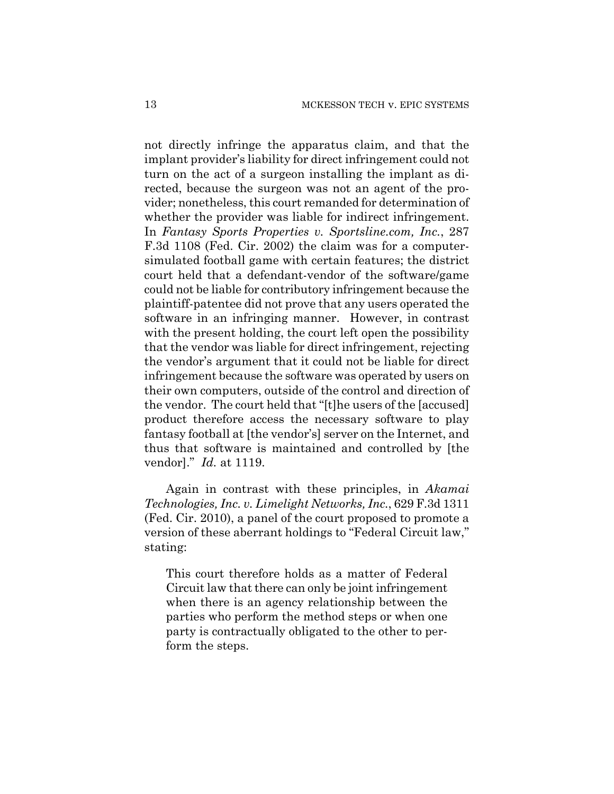not directly infringe the apparatus claim, and that the implant provider's liability for direct infringement could not turn on the act of a surgeon installing the implant as directed, because the surgeon was not an agent of the provider; nonetheless, this court remanded for determination of whether the provider was liable for indirect infringement. In *Fantasy Sports Properties v. Sportsline.com, Inc.*, 287 F.3d 1108 (Fed. Cir. 2002) the claim was for a computersimulated football game with certain features; the district court held that a defendant-vendor of the software/game could not be liable for contributory infringement because the plaintiff-patentee did not prove that any users operated the software in an infringing manner. However, in contrast with the present holding, the court left open the possibility that the vendor was liable for direct infringement, rejecting the vendor's argument that it could not be liable for direct infringement because the software was operated by users on their own computers, outside of the control and direction of the vendor. The court held that "[t]he users of the [accused] product therefore access the necessary software to play fantasy football at [the vendor's] server on the Internet, and thus that software is maintained and controlled by [the vendor]." *Id.* at 1119.

Again in contrast with these principles, in *Akamai Technologies, Inc. v. Limelight Networks, Inc.*, 629 F.3d 1311 (Fed. Cir. 2010), a panel of the court proposed to promote a version of these aberrant holdings to "Federal Circuit law," stating:

This court therefore holds as a matter of Federal Circuit law that there can only be joint infringement when there is an agency relationship between the parties who perform the method steps or when one party is contractually obligated to the other to perform the steps.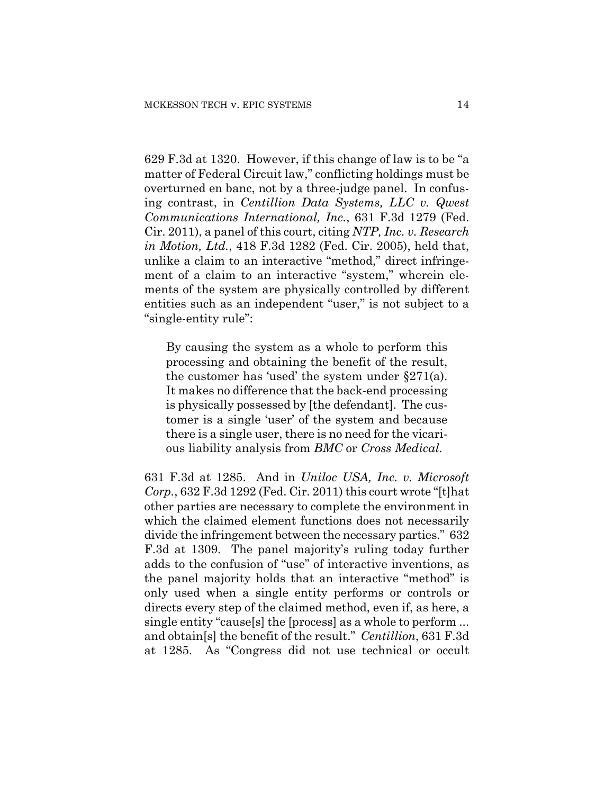629 F.3d at 1320. However, if this change of law is to be "a matter of Federal Circuit law," conflicting holdings must be overturned en banc, not by a three-judge panel. In confusing contrast, in *Centillion Data Systems, LLC v. Qwest Communications International, Inc.*, 631 F.3d 1279 (Fed. Cir. 2011), a panel of this court, citing *NTP, Inc. v. Research in Motion, Ltd.*, 418 F.3d 1282 (Fed. Cir. 2005), held that, unlike a claim to an interactive "method," direct infringement of a claim to an interactive "system," wherein elements of the system are physically controlled by different entities such as an independent "user," is not subject to a "single-entity rule":

By causing the system as a whole to perform this processing and obtaining the benefit of the result, the customer has 'used' the system under §271(a). It makes no difference that the back-end processing is physically possessed by [the defendant]. The customer is a single 'user' of the system and because there is a single user, there is no need for the vicarious liability analysis from *BMC* or *Cross Medical*.

631 F.3d at 1285. And in *Uniloc USA, Inc. v. Microsoft Corp.*, 632 F.3d 1292 (Fed. Cir. 2011) this court wrote "[t]hat other parties are necessary to complete the environment in which the claimed element functions does not necessarily divide the infringement between the necessary parties." 632 F.3d at 1309. The panel majority's ruling today further adds to the confusion of "use" of interactive inventions, as the panel majority holds that an interactive "method" is only used when a single entity performs or controls or directs every step of the claimed method, even if, as here, a single entity "cause[s] the [process] as a whole to perform ... and obtain[s] the benefit of the result." *Centillion*, 631 F.3d at 1285. As "Congress did not use technical or occult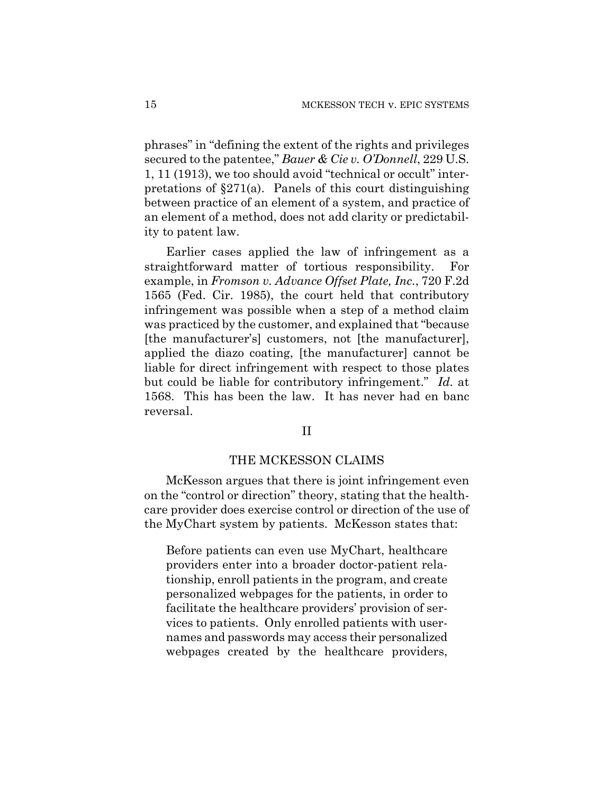phrases" in "defining the extent of the rights and privileges secured to the patentee," *Bauer & Cie v. O'Donnell*, 229 U.S. 1, 11 (1913), we too should avoid "technical or occult" interpretations of §271(a). Panels of this court distinguishing between practice of an element of a system, and practice of an element of a method, does not add clarity or predictability to patent law.

Earlier cases applied the law of infringement as a straightforward matter of tortious responsibility. For example, in *Fromson v. Advance Offset Plate, Inc.*, 720 F.2d 1565 (Fed. Cir. 1985), the court held that contributory infringement was possible when a step of a method claim was practiced by the customer, and explained that "because [the manufacturer's] customers, not [the manufacturer], applied the diazo coating, [the manufacturer] cannot be liable for direct infringement with respect to those plates but could be liable for contributory infringement." *Id.* at 1568. This has been the law. It has never had en banc reversal.

## II

#### THE MCKESSON CLAIMS

McKesson argues that there is joint infringement even on the "control or direction" theory, stating that the healthcare provider does exercise control or direction of the use of the MyChart system by patients. McKesson states that:

Before patients can even use MyChart, healthcare providers enter into a broader doctor-patient relationship, enroll patients in the program, and create personalized webpages for the patients, in order to facilitate the healthcare providers' provision of services to patients. Only enrolled patients with usernames and passwords may access their personalized webpages created by the healthcare providers,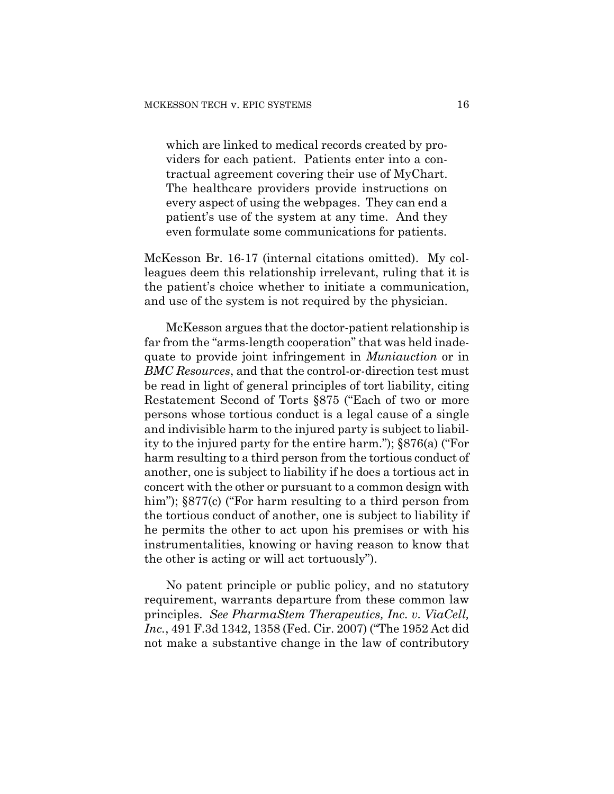which are linked to medical records created by providers for each patient. Patients enter into a contractual agreement covering their use of MyChart. The healthcare providers provide instructions on every aspect of using the webpages. They can end a patient's use of the system at any time. And they even formulate some communications for patients.

McKesson Br. 16-17 (internal citations omitted). My colleagues deem this relationship irrelevant, ruling that it is the patient's choice whether to initiate a communication, and use of the system is not required by the physician.

McKesson argues that the doctor-patient relationship is far from the "arms-length cooperation" that was held inadequate to provide joint infringement in *Muniauction* or in *BMC Resources*, and that the control-or-direction test must be read in light of general principles of tort liability, citing Restatement Second of Torts §875 ("Each of two or more persons whose tortious conduct is a legal cause of a single and indivisible harm to the injured party is subject to liability to the injured party for the entire harm."); §876(a) ("For harm resulting to a third person from the tortious conduct of another, one is subject to liability if he does a tortious act in concert with the other or pursuant to a common design with him");  $§877(c)$  ("For harm resulting to a third person from the tortious conduct of another, one is subject to liability if he permits the other to act upon his premises or with his instrumentalities, knowing or having reason to know that the other is acting or will act tortuously").

No patent principle or public policy, and no statutory requirement, warrants departure from these common law principles. *See PharmaStem Therapeutics, Inc. v. ViaCell, Inc.*, 491 F.3d 1342, 1358 (Fed. Cir. 2007) ("The 1952 Act did not make a substantive change in the law of contributory